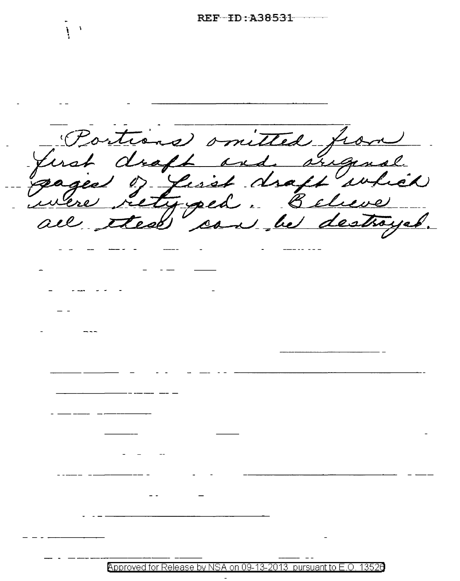Portions omitted fro first droft and sugar<br>gaged of first droft an  $\mathcal{L}(\mathcal{N})$ test ' 1 he destroyer can

Approved for Release by NSA on 09-13-2013 pursuant to E.O. 13526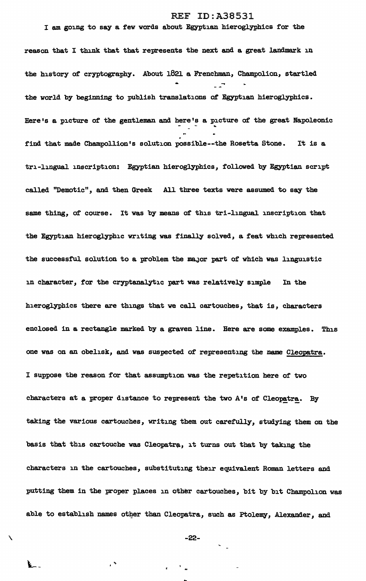## REF ID:A38531

## I am going to say a few words about Egyptian hieroglyphics for the

reason that I think that that represents the next and a great landmark in the history of cryptography. About 1821 a Frenchman, Champolion, startled • the world by beginning to publish translations of Egyptian hieroglyphics. Here's a picture of the gentleman and here's a picture of the great Napoleonic .<br>
find that made Champollion's solution possible--the Rosetta Stone. It is a tri-lingual inscription: Egyptian hieroglyphics, followed by Egyptian script called "Demotic", and then Greek All three texts were assumed to say the same thing, of course. It was by means *ot* this tri-lingual inscription that the Egyptian hieroglyphic writing was finally solved, a teat which represented the successful solution to a problem the major part of which was linguistic in character, for the cryptanalytic part was relatively simple In the hieroglyphics there are things that we call aartouches, that is, characters enclosed in a rectangle marked by a graven line. Here are some examples. This one was on an obelisk, and was suspected of representing the name Cleopatra. I suppose the reason for that assumption was the repetition here *ot* two characters at a proper distance to represent the two A's of Cleopatra. By taking the various cartouches, writing them out carefully, studying them on the basis that this cartouche was Cleopatra, it turns out that by taking the characters in the cartouches, substituting their equivalent Roman letters and putting them in the proper places in other cartouches, bit by bit Champolion was able to establish names other than Cleopatra, such as Ptolemy, Alexander, and

 $\sim$   $-22-$ 

 $\epsilon$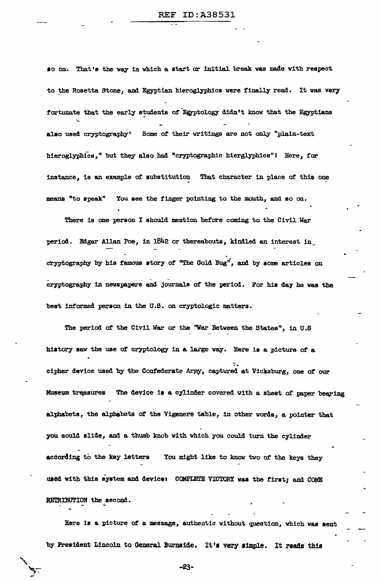so on. That's the way in which a start or initial break was made with respect to the Rosetta Stone, and Egyptian hieroglyphics were finally read. It was very fortunate that the early students of Egyptology didn't know that the Egyptians also used cryptography' Some of their writings are not only "plain-text hieroglyphics," but they also had "cryptographic hierglyphics"! Here, for instance, is an example of substitution That character in place of this one means "to speak" You see the finger pointing to the mouth, and so on.

There is one person I should mention before coming to the Civil War period. Edgar Allan Poe, in 1842 or thereabouts, kindled an interest in cryptography by his famous story of "The Gold Bug", and by some articles on cryptography in newspapers and journals of the period. For his day he was the best informed person in the U.S. on cryptologic matters.

The period of the Civil War or the "War Between the States", in U.S. history saw the use of cryptology in a large way. Here is a picture of a cipher device used by the Confederate Army, captured at Vicksburg, one of our The device is a cylinder covered with a sheet of paper bearing Museum treasures alphabets, the alphabets of the Vigenere table, in other words, a pointer that you could slide, and a thumb knob with which you could turn the cylinder You might like to know two of the keys they according to the key letters used with this system and device: COMPLETE VICTORY was the first; and COME RETRIBUTION the second.

Here is a picture of a message, authentic without question, which was sent by President Lincoln to General Burnside. It's very simple. It reads this

 $-23-$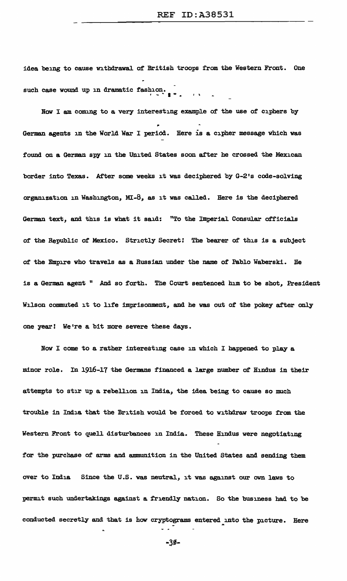idea being to cause withdrawal. of British troops from the Western Front. One such case wound up in dramatic fashion.

Now I am coming to a very interesting example of the use of ciphers by German agents in the World War I period. Here is a cipher message which was found on a German spy in the United States soon after he crossed the Mexican border into Texas. After some weeks it was deciphered by G-2's code-solving organization in Washington, MI-8, as it was called. Here is the deciphered German text, and this is what it said: "To the Imperial Consular officials of the Republic of Mexico. Strictly Secret! The bearer of this is a subJect of the Empire who travels as a Russian under the name of Pablo Waberski. He is a German agent " And so forth. The Court sentenced him to be shot, President Wilson commuted it to life imprisonment, and he was out of the pokey after only one year! We're a bit more severe these days.

Now I come to a rather interesting case in which I happened to play a minor role. In 1916-17 the Germans financed a large number of Hindus in their attempts to stir up a rebellion in India, the idea. being to cause so much trouble in India that the British would be forced to withdraw troops from the Western Front to quell disturbances in India. These Hindus were negotiating for the purchase of arms and ammunition in the United States and sending them over to India Since the U.S. was neutral, it was against our own laws to permit such undertakings against a friendly nation. So the business had to be conducted secretly and that is how cryptograms entered into the picture. Here

 $-30-$